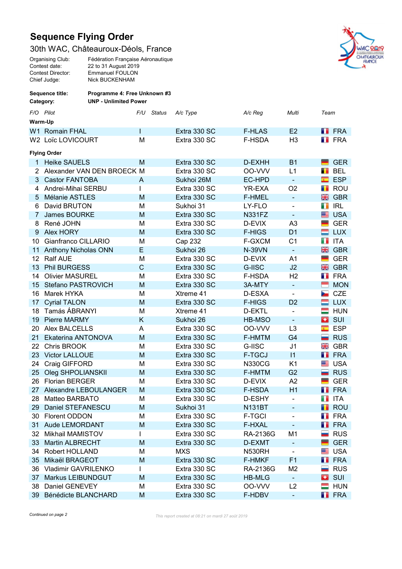## Sequence Flying Order

## 30th WAC, Châteauroux-Déols, France

| Organising Club:  | Fédération Française Aéronautique |
|-------------------|-----------------------------------|
| Contest date:     | 22 to 31 August 2019              |
| Contest Director: | <b>Emmanuel FOULON</b>            |
| Chief Judge:      | <b>Nick BUCKENHAM</b>             |
|                   |                                   |



| Sequence title:<br>Category: |                        | Programme 4: Free Unknown #3 |             |        |              |               |                |                         |                    |  |  |  |
|------------------------------|------------------------|------------------------------|-------------|--------|--------------|---------------|----------------|-------------------------|--------------------|--|--|--|
|                              |                        | <b>UNP - Unlimited Power</b> |             |        |              |               |                |                         |                    |  |  |  |
| F/O Pilot                    |                        |                              | F/U         | Status | A/c Type     | A/c Reg       | Multi          | Team                    |                    |  |  |  |
| Warm-Up                      |                        |                              |             |        |              |               |                |                         |                    |  |  |  |
|                              | W1 Romain FHAL         |                              |             |        | Extra 330 SC | <b>F-HLAS</b> | E2             |                         | <b>T</b> FRA       |  |  |  |
|                              | W2 Loïc LOVICOURT      |                              | M           |        | Extra 330 SC | F-HSDA        | H <sub>3</sub> |                         | <b>FRA</b>         |  |  |  |
|                              | <b>Flying Order</b>    |                              |             |        |              |               |                |                         |                    |  |  |  |
| 1.                           | <b>Heike SAUELS</b>    |                              | M           |        | Extra 330 SC | D-EXHH        | <b>B1</b>      |                         | <b>GER</b>         |  |  |  |
| 2                            |                        | Alexander VAN DEN BROECK M   |             |        | Extra 330 SC | 00-VVV        | L1             | П                       | <b>BEL</b>         |  |  |  |
| 3                            | <b>Castor FANTOBA</b>  |                              | A           |        | Sukhoi 26M   | EC-HPD        | $\blacksquare$ | $\overline{\mathbb{C}}$ | <b>ESP</b>         |  |  |  |
| 4                            | Andrei-Mihai SERBU     |                              |             |        | Extra 330 SC | YR-EXA        | O <sub>2</sub> | П                       | ROU                |  |  |  |
| 5                            | Mélanie ASTLES         |                              | M           |        | Extra 330 SC | <b>F-HMEL</b> | $\blacksquare$ | 噐                       | <b>GBR</b>         |  |  |  |
| 6                            | David BRUTON           |                              | M           |        | Sukhoi 31    | LY-FLO        | ۰              | a n                     | <b>IRL</b>         |  |  |  |
| 7                            | James BOURKE           |                              | M           |        | Extra 330 SC | <b>N331FZ</b> | $\blacksquare$ | ≊                       | <b>USA</b>         |  |  |  |
| 8                            | René JOHN              |                              | М           |        | Extra 330 SC | D-EVIX        | A <sub>3</sub> |                         | <b>GER</b>         |  |  |  |
| 9                            | Alex HORY              |                              | M           |        | Extra 330 SC | <b>F-HIGS</b> | D <sub>1</sub> |                         | <b>LUX</b>         |  |  |  |
| 10                           | Gianfranco CILLARIO    |                              | M           |        | Cap 232      | F-GXCM        | C <sub>1</sub> | н.                      | <b>ITA</b>         |  |  |  |
| 11                           | Anthony Nicholas ONN   |                              | E           |        | Sukhoi 26    | <b>N-39VN</b> | $\blacksquare$ | 噐                       | <b>GBR</b>         |  |  |  |
| 12                           | <b>Ralf AUE</b>        |                              | M           |        | Extra 330 SC | D-EVIX        | A1             | ▀                       | <b>GER</b>         |  |  |  |
| 13                           | <b>Phil BURGESS</b>    |                              | $\mathsf C$ |        | Extra 330 SC | G-IISC        | J2             | 噐                       | <b>GBR</b>         |  |  |  |
| 14                           | <b>Olivier MASUREL</b> |                              | M           |        | Extra 330 SC | F-HSDA        | H <sub>2</sub> |                         | <b>FRA</b>         |  |  |  |
| 15                           | Stefano PASTROVICH     |                              | M           |        | Extra 330 SC | 3A-MTY        | $\blacksquare$ | Е                       | <b>MON</b>         |  |  |  |
| 16                           | Marek HYKA             |                              | M           |        | Xtreme 41    | D-ESXA        | $\blacksquare$ | ►                       | <b>CZE</b>         |  |  |  |
| 17                           | <b>Cyrial TALON</b>    |                              | M           |        | Extra 330 SC | <b>F-HIGS</b> | D <sub>2</sub> | ▅                       | <b>LUX</b>         |  |  |  |
| 18                           | Tamás ÁBRANYI          |                              | M           |        | Xtreme 41    | D-EKTL        | $\overline{a}$ | =                       | <b>HUN</b>         |  |  |  |
| 19                           | <b>Pierre MARMY</b>    |                              | Κ           |        | Sukhoi 26    | HB-MSO        | $\equiv$       | a.                      | SUI                |  |  |  |
| 20                           | Alex BALCELLS          |                              | A           |        | Extra 330 SC | 00-VVV        | L <sub>3</sub> | c                       | <b>ESP</b>         |  |  |  |
| 21                           | Ekaterina ANTONOVA     |                              | M           |        | Extra 330 SC | <b>F-HMTM</b> | G <sub>4</sub> | ▄                       | <b>RUS</b>         |  |  |  |
| 22                           | Chris BROOK            |                              | M           |        | Extra 330 SC | G-IISC        | J <sub>1</sub> | 噐                       | <b>GBR</b>         |  |  |  |
| 23                           | <b>Victor LALLOUE</b>  |                              | M           |        | Extra 330 SC | <b>F-TGCJ</b> | $\vert$ 11     | ш                       | <b>FRA</b>         |  |  |  |
| 24                           | Craig GIFFORD          |                              | M           |        | Extra 330 SC | <b>N330CG</b> | K <sub>1</sub> | ≊                       | <b>USA</b>         |  |  |  |
| 25                           | Oleg SHPOLIANSKII      |                              | M           |        | Extra 330 SC | <b>F-HMTM</b> | G <sub>2</sub> | -                       | <b>RUS</b>         |  |  |  |
| 26                           | <b>Florian BERGER</b>  |                              | M           |        | Extra 330 SC | D-EVIX        | A2             |                         | <b>GER</b>         |  |  |  |
| 27                           | Alexandre LEBOULANGER  |                              | M           |        | Extra 330 SC | <b>F-HSDA</b> | H1             | m                       | <b>FRA</b>         |  |  |  |
| 28                           | Matteo BARBATO         |                              | М           |        | Extra 330 SC | D-ESHY        | -              |                         | <b>TE</b> ITA      |  |  |  |
| 29                           | Daniel STEFANESCU      |                              | M           |        | Sukhoi 31    | <b>N131BT</b> |                |                         | <b>ROU</b>         |  |  |  |
| 30                           | Florent ODDON          |                              | M           |        | Extra 330 SC | <b>F-TGCI</b> | ÷,             |                         | <b>FRA</b>         |  |  |  |
| 31                           | Aude LEMORDANT         |                              | M           |        | Extra 330 SC | <b>F-HXAL</b> | ÷              |                         | <b>FRA</b>         |  |  |  |
| 32                           | Mikhail MAMISTOV       |                              |             |        | Extra 330 SC | RA-2136G      | M1             | -                       | <b>RUS</b>         |  |  |  |
| 33                           | <b>Martin ALBRECHT</b> |                              | M           |        | Extra 330 SC | D-EXMT        |                |                         | <b>GER</b>         |  |  |  |
| 34                           | Robert HOLLAND         |                              | M           |        | <b>MXS</b>   | N530RH        | ۰              | ≝                       | <b>USA</b>         |  |  |  |
| 35                           | Mikaël BRAGEOT         |                              | M           |        | Extra 330 SC | <b>F-HMKF</b> | F <sub>1</sub> |                         | <b>FRA</b>         |  |  |  |
| 36                           | Vladimir GAVRILENKO    |                              |             |        | Extra 330 SC | RA-2136G      | M <sub>2</sub> |                         | <b>RUS</b>         |  |  |  |
| 37                           | Markus LEIBUNDGUT      |                              | M           |        | Extra 330 SC | <b>HB-MLG</b> | ÷              | o                       | SUI                |  |  |  |
| 38                           | Daniel GENEVEY         |                              | M           |        | Extra 330 SC | OO-VVV        | L2             |                         | $\blacksquare$ HUN |  |  |  |
|                              | 39 Bénédicte BLANCHARD |                              | M           |        | Extra 330 SC | F-HDBV        | ۰              | п.                      | <b>FRA</b>         |  |  |  |